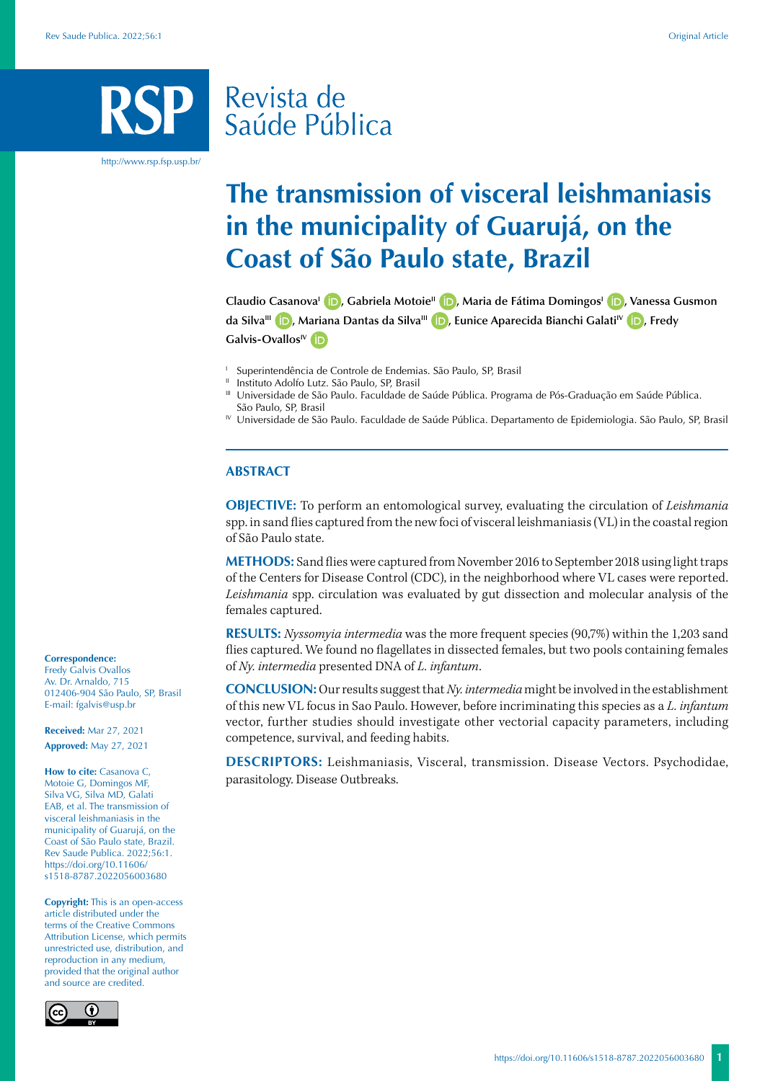# Revista de Saúde Pública

http://www.rsp.fsp.usp.br/

# **The transmission of visceral leishmaniasis in the municipality of Guarujá, on the Coast of São Paulo state, Brazil**

**Claudio CasanovaI [,](https:/orcid.org/0000-0002-8944-0939) Gabriela MotoieII [,](https://orcid.org/0000-0002-8841-2004) Maria de Fátima DomingosI [,](https:/orcid.org/0000-0002-0923-3156) Vanessa Gusmon da SilvaIII [,](https://orcid.org/0000-0002-5939-2868) Mariana Dantas da SilvaIII [,](https://orcid.org/0000-0003-2366-1576) Eunice Aparecida Bianchi GalatiIV [,](https://orcid.org/0000-0003-4662-281X) Fredy**  Galvis-Ovallos<sup>IV</sup> D

<sup>1</sup> Superintendência de Controle de Endemias. São Paulo, SP, Brasil

Instituto Adolfo Lutz. São Paulo, SP, Brasil

III Universidade de São Paulo. Faculdade de Saúde Pública. Programa de Pós-Graduação em Saúde Pública. São Paulo, SP, Brasil

IV Universidade de São Paulo. Faculdade de Saúde Pública. Departamento de Epidemiologia. São Paulo, SP, Brasil

### **ABSTRACT**

**OBJECTIVE:** To perform an entomological survey, evaluating the circulation of *Leishmania*  spp. in sand flies captured from the new foci of visceral leishmaniasis (VL) in the coastal region of São Paulo state.

**METHODS:** Sand flies were captured from November 2016 to September 2018 using light traps of the Centers for Disease Control (CDC), in the neighborhood where VL cases were reported. *Leishmania* spp. circulation was evaluated by gut dissection and molecular analysis of the females captured.

**RESULTS:** *Nyssomyia intermedia* was the more frequent species (90,7%) within the 1,203 sand flies captured. We found no flagellates in dissected females, but two pools containing females of *Ny. intermedia* presented DNA of *L. infantum*.

**CONCLUSION:** Our results suggest that *Ny. intermedia* might be involved in the establishment of this new VL focus in Sao Paulo. However, before incriminating this species as a *L. infantum*  vector, further studies should investigate other vectorial capacity parameters, including competence, survival, and feeding habits.

**DESCRIPTORS:** Leishmaniasis, Visceral, transmission. Disease Vectors. Psychodidae, parasitology. Disease Outbreaks.

#### **Correspondence:**

Fredy Galvis Ovallos Av. Dr. Arnaldo, 715 012406-904 São Paulo, SP, Brasil E-mail: fgalvis@usp.br

**Received:** Mar 27, 2021 **Approved:** May 27, 2021

**How to cite:** Casanova C, Motoie G, Domingos MF, Silva VG, Silva MD, Galati EAB, et al. The transmission of visceral leishmaniasis in the municipality of Guarujá, on the Coast of São Paulo state, Brazil. Rev Saude Publica. 2022;56:1. [https://doi.org/10.11606/](https://doi.org/10.11606/s1518-8787.2022056003680) [s1518-8787.2](https://doi.org/10.11606/s1518-8787.2022056003680)022056003680

**Copyright:** This is an open-access article distributed under the terms of the Creative Commons Attribution License, which permits unrestricted use, distribution, and reproduction in any medium, provided that the original author and source are credited.

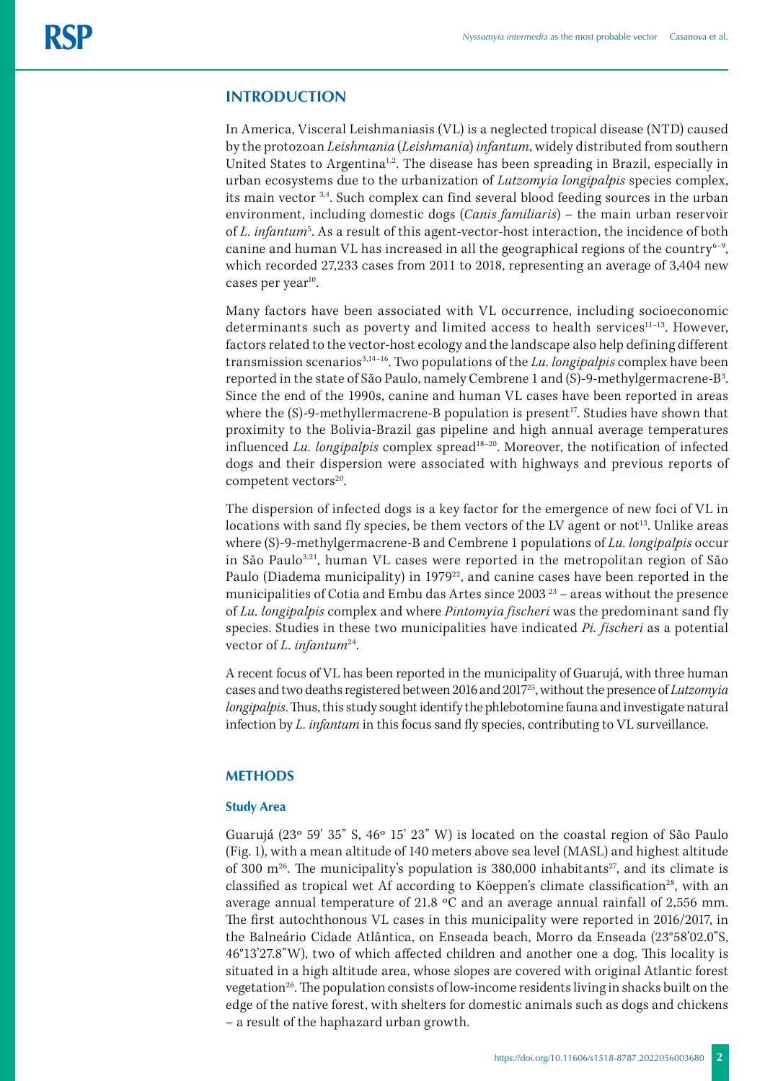# **INTRODUCTION**

In America, Visceral Leishmaniasis (VL) is a neglected tropical disease (NTD) caused by the protozoan *Leishmania* (*Leishmania*) *infantum*, widely distributed from southern United States to Argentina<sup>1,2</sup>. The disease has been spreading in Brazil, especially in urban ecosystems due to the urbanization of *Lutzomyia longipalpis* species complex, its main vector 3,4. Such complex can find several blood feeding sources in the urban environment, including domestic dogs (*Canis familiaris*) – the main urban reservoir of *L. infantum<sup>5</sup>*. As a result of this agent-vector-host interaction, the incidence of both canine and human VL has increased in all the geographical regions of the country $6-9$ , which recorded 27,233 cases from 2011 to 2018, representing an average of 3,404 new cases per year<sup>10</sup>.

Many factors have been associated with VL occurrence, including socioeconomic determinants such as poverty and limited access to health services<sup>11-13</sup>. However, factors related to the vector-host ecology and the landscape also help defining different transmission scenarios3,14–16. Two populations of the *Lu. longipalpis* complex have been reported in the state of São Paulo, namely Cembrene 1 and (S)-9-methylgermacrene-B3 . Since the end of the 1990s, canine and human VL cases have been reported in areas where the  $(S)$ -9-methyllermacrene-B population is present<sup>17</sup>. Studies have shown that proximity to the Bolivia-Brazil gas pipeline and high annual average temperatures influenced *Lu. longipalpis* complex spread18–20. Moreover, the notification of infected dogs and their dispersion were associated with highways and previous reports of competent vectors<sup>20</sup>.

The dispersion of infected dogs is a key factor for the emergence of new foci of VL in locations with sand fly species, be them vectors of the LV agent or not<sup>13</sup>. Unlike areas where (S)-9-methylgermacrene-B and Cembrene 1 populations of *Lu. longipalpis* occur in São Paulo3,21, human VL cases were reported in the metropolitan region of São Paulo (Diadema municipality) in 1979<sup>22</sup>, and canine cases have been reported in the municipalities of Cotia and Embu das Artes since 2003 23 – areas without the presence of *Lu. longipalpis* complex and where *Pintomyia fischeri* was the predominant sand fly species. Studies in these two municipalities have indicated *Pi. fischeri* as a potential vector of *L. infantum*<sup>24</sup>.

A recent focus of VL has been reported in the municipality of Guarujá, with three human cases and two deaths registered between 2016 and 201725, without the presence of *Lutzomyia longipalpis*. Thus, this study sought identify the phlebotomine fauna and investigate natural infection by *L. infantum* in this focus sand fly species, contributing to VL surveillance.

# **METHODS**

# **Study Area**

Guarujá (23º 59' 35" S, 46º 15' 23" W) is located on the coastal region of São Paulo (Fig. 1), with a mean altitude of 140 meters above sea level (MASL) and highest altitude of 300 m<sup>26</sup>. The municipality's population is 380,000 inhabitants<sup>27</sup>, and its climate is classified as tropical wet Af according to Köeppen's climate classification<sup>28</sup>, with an average annual temperature of 21.8 ºC and an average annual rainfall of 2,556 mm. The first autochthonous VL cases in this municipality were reported in 2016/2017, in the Balneário Cidade Atlântica, on Enseada beach, Morro da Enseada (23°58'02.0"S, 46°13'27.8"W), two of which affected children and another one a dog. This locality is situated in a high altitude area, whose slopes are covered with original Atlantic forest vegetation<sup>26</sup>. The population consists of low-income residents living in shacks built on the edge of the native forest, with shelters for domestic animals such as dogs and chickens – a result of the haphazard urban growth.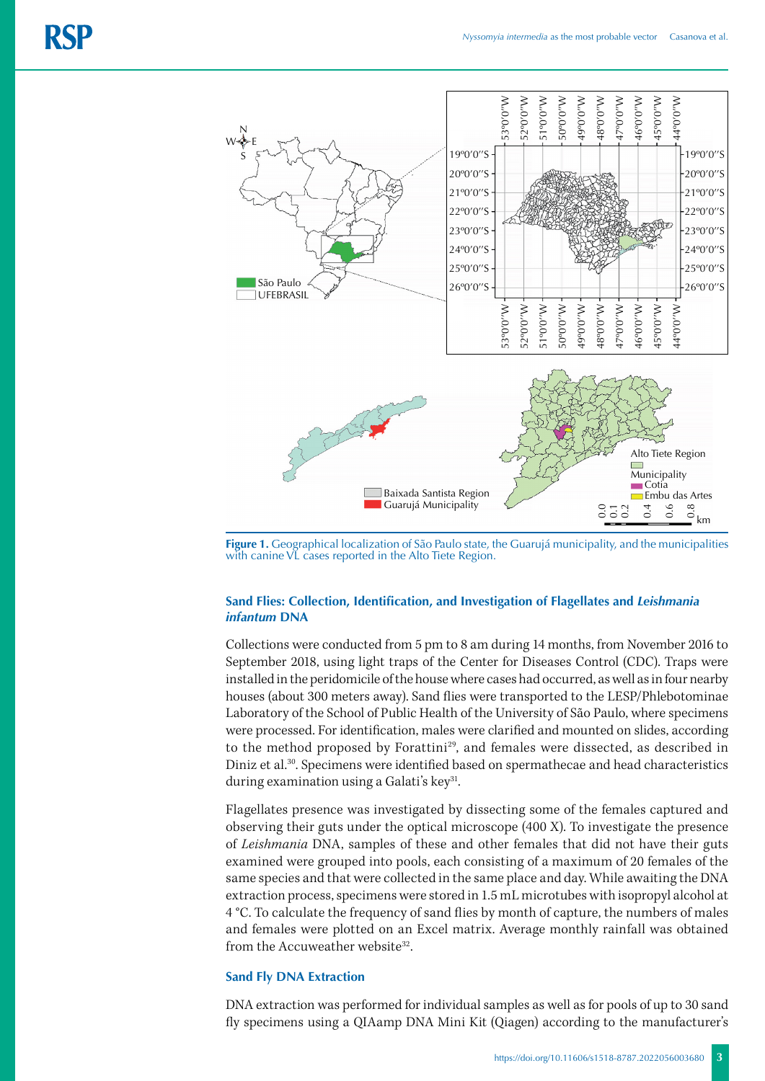

**Figure 1.** Geographical localization of São Paulo state, the Guarujá municipality, and the municipalities with canine VL cases reported in the Alto Tiete Region.

# **Sand Flies: Collection, Identification, and Investigation of Flagellates and** *Leishmania infantum* **DNA**

Collections were conducted from 5 pm to 8 am during 14 months, from November 2016 to September 2018, using light traps of the Center for Diseases Control (CDC). Traps were installed in the peridomicile of the house where cases had occurred, as well as in four nearby houses (about 300 meters away). Sand flies were transported to the LESP/Phlebotominae Laboratory of the School of Public Health of the University of São Paulo, where specimens were processed. For identification, males were clarified and mounted on slides, according to the method proposed by Forattini<sup>29</sup>, and females were dissected, as described in Diniz et al.30. Specimens were identified based on spermathecae and head characteristics during examination using a Galati's key<sup>31</sup>.

Flagellates presence was investigated by dissecting some of the females captured and observing their guts under the optical microscope (400 X). To investigate the presence of *Leishmania* DNA, samples of these and other females that did not have their guts examined were grouped into pools, each consisting of a maximum of 20 females of the same species and that were collected in the same place and day. While awaiting the DNA extraction process, specimens were stored in 1.5 mL microtubes with isopropyl alcohol at 4 °C. To calculate the frequency of sand flies by month of capture, the numbers of males and females were plotted on an Excel matrix. Average monthly rainfall was obtained from the Accuweather website<sup>32</sup>.

#### **Sand Fly DNA Extraction**

DNA extraction was performed for individual samples as well as for pools of up to 30 sand fly specimens using a QIAamp DNA Mini Kit (Qiagen) according to the manufacturer's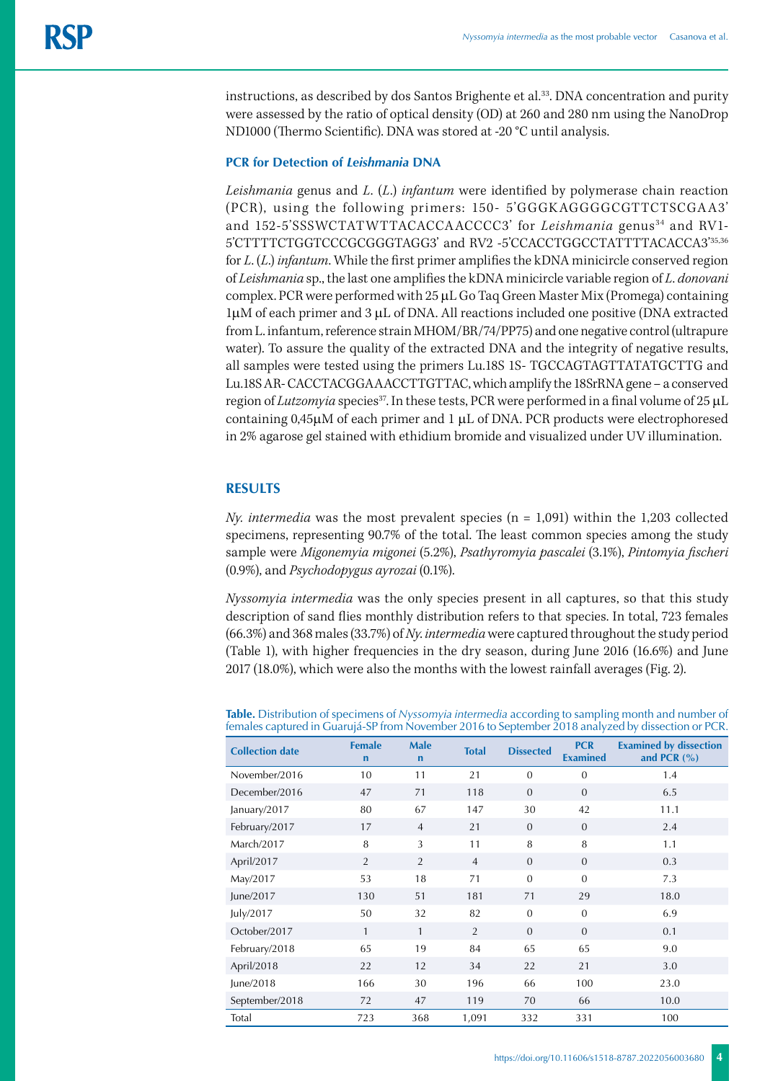instructions, as described by dos Santos Brighente et al.33. DNA concentration and purity were assessed by the ratio of optical density (OD) at 260 and 280 nm using the NanoDrop ND1000 (Thermo Scientific). DNA was stored at -20 °C until analysis.

### **PCR for Detection of** *Leishmania* **DNA**

*Leishmania* genus and *L*. (*L*.) *infantum* were identified by polymerase chain reaction (PCR), using the follow ing primers: 150 - 5'GGGK AGGGGCGTTCTSCGA A3' and 152-5'SSSWCTATWTTACACCAACCCC3' for *Leishmania* genus<sup>34</sup> and RV1-5'CTTTTCTGGTCCCGCGGGTAGG3' and RV2 -5'CCACCTGGCCTATTTTACACCA3'35,36 for *L*. (*L*.) *infantum*. While the first primer amplifies the kDNA minicircle conserved region of *Leishmania* sp., the last one amplifies the kDNA minicircle variable region of *L*. *donovani* complex. PCR were performed with 25 μL Go Taq Green Master Mix (Promega) containing 1μM of each primer and 3 μL of DNA. All reactions included one positive (DNA extracted from L. infantum, reference strain MHOM/BR/74/PP75) and one negative control (ultrapure water). To assure the quality of the extracted DNA and the integrity of negative results, all samples were tested using the primers Lu.18S 1S- TGCCAGTAGTTATATGCTTG and Lu.18S AR- CACCTACGGAAACCTTGTTAC, which amplify the 18SrRNA gene – a conserved region of *Lutzomyia* species<sup>37</sup>. In these tests, PCR were performed in a final volume of 25 μL containing 0,45μM of each primer and 1 μL of DNA. PCR products were electrophoresed in 2% agarose gel stained with ethidium bromide and visualized under UV illumination.

# **RESULTS**

*Ny. intermedia* was the most prevalent species (n = 1,091) within the 1,203 collected specimens, representing 90.7% of the total. The least common species among the study sample were *Migonemyia migonei* (5.2%), *Psathyromyia pascalei* (3.1%), *Pintomyia fischeri* (0.9%), and *Psychodopygus ayrozai* (0.1%).

*Nyssomyia intermedia* was the only species present in all captures, so that this study description of sand flies monthly distribution refers to that species. In total, 723 females (66.3%) and 368 males (33.7%) of *Ny*. *intermedia* were captured throughout the study period (Table 1), with higher frequencies in the dry season, during June 2016 (16.6%) and June 2017 (18.0%), which were also the months with the lowest rainfall averages (Fig. 2).

| <b>Collection date</b> | <b>Female</b><br>$\mathbf n$ | <b>Male</b><br>$\mathbf n$ | <b>Total</b>   | <b>Dissected</b> | <b>PCR</b><br><b>Examined</b> | <b>Examined by dissection</b><br>and PCR $(% )$ |
|------------------------|------------------------------|----------------------------|----------------|------------------|-------------------------------|-------------------------------------------------|
| November/2016          | 10                           | 11                         | 21             | $\Omega$         | $\mathbf{0}$                  | 1.4                                             |
| December/2016          | 47                           | 71                         | 118            | $\theta$         | $\mathbf{0}$                  | 6.5                                             |
| January/2017           | 80                           | 67                         | 147            | 30               | 42                            | 11.1                                            |
| February/2017          | 17                           | $\overline{4}$             | 21             | $\theta$         | $\theta$                      | 2.4                                             |
| March/2017             | 8                            | 3                          | 11             | 8                | 8                             | 1.1                                             |
| April/2017             | 2                            | $\overline{2}$             | $\overline{4}$ | $\Omega$         | $\theta$                      | 0.3                                             |
| May/2017               | 53                           | 18                         | 71             | $\Omega$         | $\overline{0}$                | 7.3                                             |
| June/2017              | 130                          | 51                         | 181            | 71               | 29                            | 18.0                                            |
| July/2017              | 50                           | 32                         | 82             | $\Omega$         | $\overline{0}$                | 6.9                                             |
| October/2017           | $\mathbf{1}$                 | $\mathbf{1}$               | $\overline{2}$ | $\Omega$         | $\theta$                      | 0.1                                             |
| February/2018          | 65                           | 19                         | 84             | 65               | 65                            | 9.0                                             |
| April/2018             | 22                           | 12                         | 34             | 22               | 21                            | 3.0                                             |
| June/2018              | 166                          | 30                         | 196            | 66               | 100                           | 23.0                                            |
| September/2018         | 72                           | 47                         | 119            | 70               | 66                            | 10.0                                            |
| Total                  | 723                          | 368                        | 1,091          | 332              | 331                           | 100                                             |

**Table.** Distribution of specimens of *Nyssomyia intermedia* according to sampling month and number of females captured in Guarujá-SP from November 2016 to September 2018 analyzed by dissection or PCR.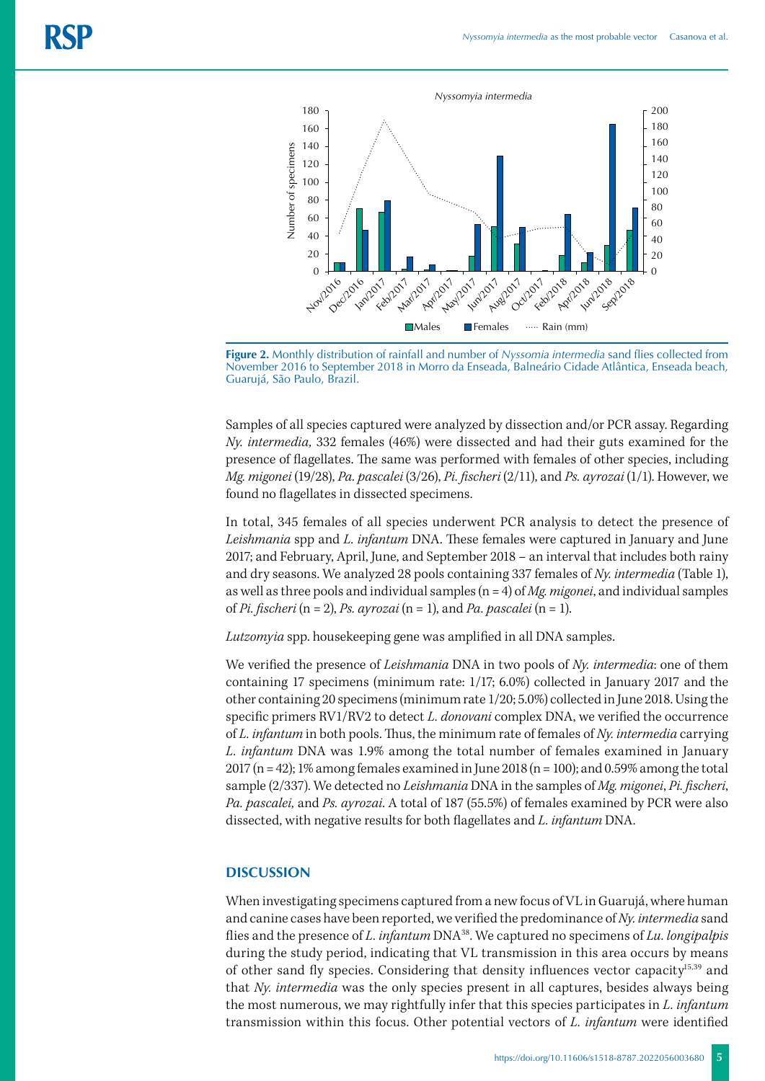



Samples of all species captured were analyzed by dissection and/or PCR assay. Regarding *Ny. intermedia,* 332 females (46%) were dissected and had their guts examined for the presence of flagellates. The same was performed with females of other species, including *Mg. migonei* (19/28), *Pa. pascalei* (3/26), *Pi. fischeri* (2/11), and *Ps. ayrozai* (1/1). However, we found no flagellates in dissected specimens.

In total, 345 females of all species underwent PCR analysis to detect the presence of *Leishmania* spp and *L. infantum* DNA. These females were captured in January and June 2017; and February, April, June, and September 2018 – an interval that includes both rainy and dry seasons. We analyzed 28 pools containing 337 females of *Ny. intermedia* (Table 1), as well as three pools and individual samples (n = 4) of *Mg. migonei*, and individual samples of *Pi. fischeri* (n = 2), *Ps. ayrozai* (n = 1), and *Pa. pascalei* (n = 1).

*Lutzomyia* spp. housekeeping gene was amplified in all DNA samples.

We verified the presence of *Leishmania* DNA in two pools of *Ny. intermedia*: one of them containing 17 specimens (minimum rate: 1/17; 6.0%) collected in January 2017 and the other containing 20 specimens (minimum rate 1/20; 5.0%) collected in June 2018. Using the specific primers RV1/RV2 to detect *L. donovani* complex DNA, we verified the occurrence of *L. infantum* in both pools. Thus, the minimum rate of females of *Ny. intermedia* carrying *L. infantum* DNA was 1.9% among the total number of females examined in January 2017 (n = 42); 1% among females examined in June 2018 (n = 100); and 0.59% among the total sample (2/337). We detected no *Leishmania* DNA in the samples of *Mg. migonei*, *Pi. fischeri*, *Pa. pascalei,* and *Ps. ayrozai*. A total of 187 (55.5%) of females examined by PCR were also dissected, with negative results for both flagellates and *L. infantum* DNA.

#### **DISCUSSION**

When investigating specimens captured from a new focus of VL in Guarujá, where human and canine cases have been reported, we verified the predominance of *Ny. intermedia* sand flies and the presence of *L. infantum* DNA38. We captured no specimens of *Lu. longipalpis*  during the study period, indicating that VL transmission in this area occurs by means of other sand fly species. Considering that density influences vector capacity15,39 and that *Ny. intermedia* was the only species present in all captures, besides always being the most numerous, we may rightfully infer that this species participates in *L. infantum* transmission within this focus. Other potential vectors of *L. infantum* were identified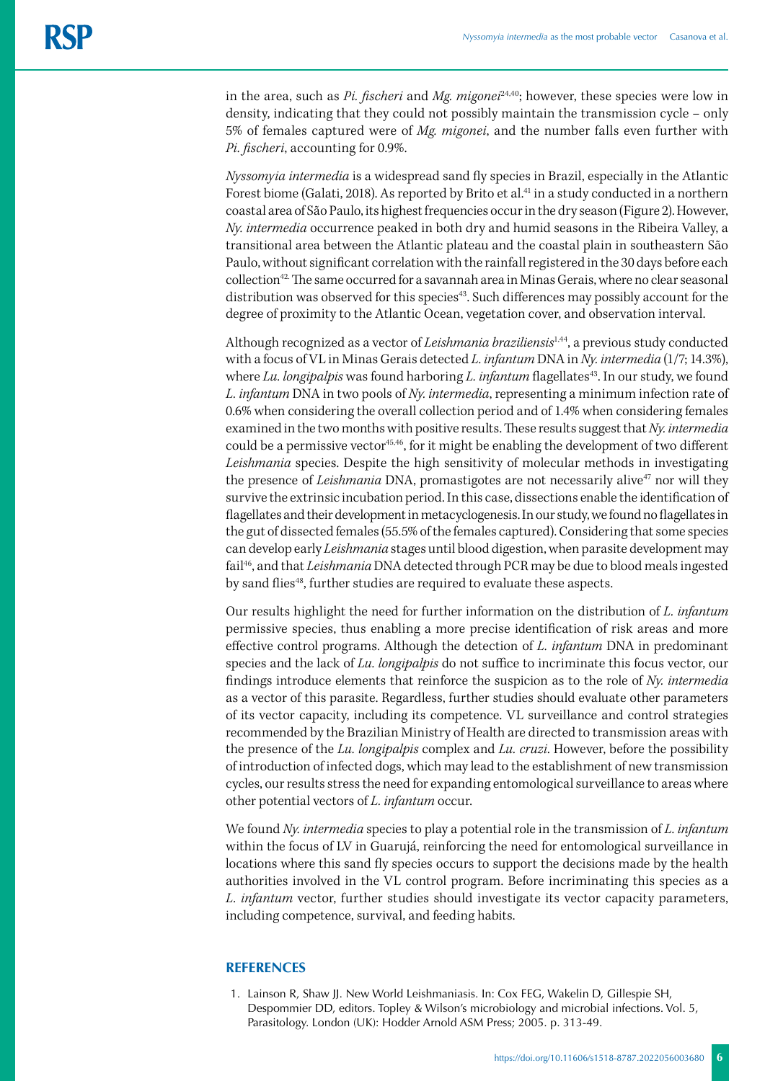in the area, such as *Pi. fischeri* and *Mg. migonei*<sup>24,40</sup>; however, these species were low in density, indicating that they could not possibly maintain the transmission cycle – only 5% of females captured were of *Mg. migonei*, and the number falls even further with *Pi. fischeri*, accounting for 0.9%.

*Nyssomyia intermedia* is a widespread sand fly species in Brazil, especially in the Atlantic Forest biome (Galati, 2018). As reported by Brito et al.<sup>41</sup> in a study conducted in a northern coastal area of São Paulo, its highest frequencies occur in the dry season (Figure 2). However, *Ny. intermedia* occurrence peaked in both dry and humid seasons in the Ribeira Valley, a transitional area between the Atlantic plateau and the coastal plain in southeastern São Paulo, without significant correlation with the rainfall registered in the 30 days before each collection<sup>42.</sup> The same occurred for a savannah area in Minas Gerais, where no clear seasonal distribution was observed for this species<sup>43</sup>. Such differences may possibly account for the degree of proximity to the Atlantic Ocean, vegetation cover, and observation interval.

Although recognized as a vector of *Leishmania braziliensis*1,44, a previous study conducted with a focus of VL in Minas Gerais detected *L. infantum* DNA in *Ny. intermedia* (1/7; 14.3%), where *Lu. longipalpis* was found harboring *L. infantum* flagellates<sup>43</sup>. In our study, we found *L. infantum* DNA in two pools of *Ny. intermedia*, representing a minimum infection rate of 0.6% when considering the overall collection period and of 1.4% when considering females examined in the two months with positive results. These results suggest that *Ny. intermedia* could be a permissive vector<sup>45,46</sup>, for it might be enabling the development of two different *Leishmania* species. Despite the high sensitivity of molecular methods in investigating the presence of *Leishmania* DNA, promastigotes are not necessarily alive<sup>47</sup> nor will they survive the extrinsic incubation period. In this case, dissections enable the identification of flagellates and their development in metacyclogenesis. In our study, we found no flagellates in the gut of dissected females (55.5% of the females captured). Considering that some species can develop early *Leishmania* stages until blood digestion, when parasite development may fail<sup>46</sup>, and that *Leishmania* DNA detected through PCR may be due to blood meals ingested by sand flies<sup>48</sup>, further studies are required to evaluate these aspects.

Our results highlight the need for further information on the distribution of *L. infantum*  permissive species, thus enabling a more precise identification of risk areas and more effective control programs. Although the detection of *L. infantum* DNA in predominant species and the lack of *Lu. longipalpis* do not suffice to incriminate this focus vector, our findings introduce elements that reinforce the suspicion as to the role of *Ny. intermedia* as a vector of this parasite. Regardless, further studies should evaluate other parameters of its vector capacity, including its competence. VL surveillance and control strategies recommended by the Brazilian Ministry of Health are directed to transmission areas with the presence of the *Lu. longipalpis* complex and *Lu. cruzi*. However, before the possibility of introduction of infected dogs, which may lead to the establishment of new transmission cycles, our results stress the need for expanding entomological surveillance to areas where other potential vectors of *L. infantum* occur.

We found *Ny. intermedia* species to play a potential role in the transmission of *L. infantum*  within the focus of LV in Guarujá, reinforcing the need for entomological surveillance in locations where this sand fly species occurs to support the decisions made by the health authorities involved in the VL control program. Before incriminating this species as a *L. infantum* vector, further studies should investigate its vector capacity parameters, including competence, survival, and feeding habits.

### **REFERENCES**

1. Lainson R, Shaw JJ. New World Leishmaniasis. In: Cox FEG, Wakelin D, Gillespie SH, Despommier DD, editors. Topley & Wilson's microbiology and microbial infections. Vol. 5, Parasitology. London (UK): Hodder Arnold ASM Press; 2005. p. 313-49.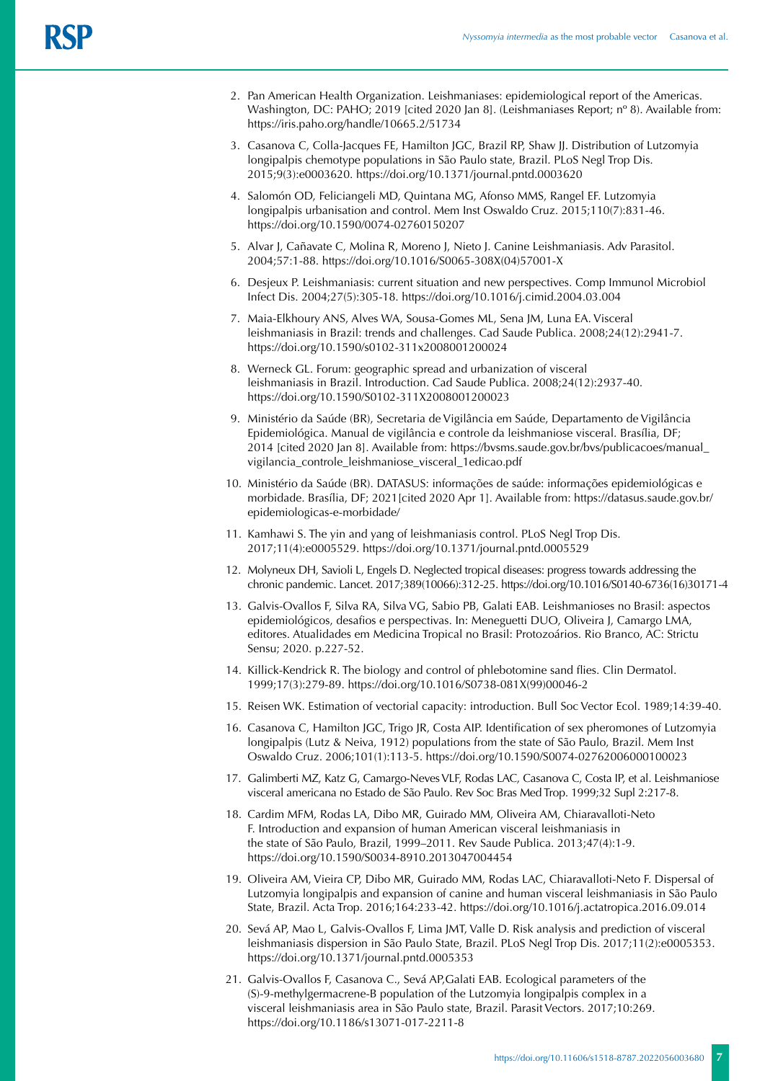- 2. Pan American Health Organization. Leishmaniases: epidemiological report of the Americas. Washington, DC: PAHO; 2019 [cited 2020 Jan 8]. (Leishmaniases Report; nº 8). Available from: https://iris.paho.org/handle/10665.2/51734
- 3. Casanova C, Colla-Jacques FE, Hamilton JGC, Brazil RP, Shaw JJ. Distribution of Lutzomyia longipalpis chemotype populations in São Paulo state, Brazil. PLoS Negl Trop Dis. 2015;9(3):e0003620. https://doi.org/10.1371/journal.pntd.0003620
- 4. Salomón OD, Feliciangeli MD, Quintana MG, Afonso MMS, Rangel EF. Lutzomyia longipalpis urbanisation and control. Mem Inst Oswaldo Cruz. 2015;110(7):831-46. https://doi.org/10.1590/0074-02760150207
- 5. Alvar J, Cañavate C, Molina R, Moreno J, Nieto J. Canine Leishmaniasis. Adv Parasitol. 2004;57:1-88. https://doi.org/10.1016/S0065-308X(04)57001-X
- 6. Desjeux P. Leishmaniasis: current situation and new perspectives. Comp Immunol Microbiol Infect Dis. 2004;27(5):305-18. https://doi.org/10.1016/j.cimid.2004.03.004
- 7. Maia-Elkhoury ANS, Alves WA, Sousa-Gomes ML, Sena JM, Luna EA. Visceral leishmaniasis in Brazil: trends and challenges. Cad Saude Publica. 2008;24(12):2941-7. https://doi.org/10.1590/s0102-311x2008001200024
- 8. Werneck GL. Forum: geographic spread and urbanization of visceral leishmaniasis in Brazil. Introduction. Cad Saude Publica. 2008;24(12):2937-40. https://doi.org/10.1590/S0102-311X2008001200023
- 9. Ministério da Saúde (BR), Secretaria de Vigilância em Saúde, Departamento de Vigilância Epidemiológica. Manual de vigilância e controle da leishmaniose visceral. Brasília, DF; 2014 [cited 2020 Jan 8]. Available from: https://bvsms.saude.gov.br/bvs/publicacoes/manual\_ vigilancia\_controle\_leishmaniose\_visceral\_1edicao.pdf
- 10. Ministério da Saúde (BR). DATASUS: informações de saúde: informações epidemiológicas e morbidade. Brasília, DF; 2021[cited 2020 Apr 1]. Available from: https://datasus.saude.gov.br/ epidemiologicas-e-morbidade/
- 11. Kamhawi S. The yin and yang of leishmaniasis control. PLoS Negl Trop Dis. 2017;11(4):e0005529. https://doi.org/10.1371/journal.pntd.0005529
- 12. Molyneux DH, Savioli L, Engels D. Neglected tropical diseases: progress towards addressing the chronic pandemic. Lancet. 2017;389(10066):312-25. https://doi.org/10.1016/S0140-6736(16)30171-4
- 13. Galvis-Ovallos F, Silva RA, Silva VG, Sabio PB, Galati EAB. Leishmanioses no Brasil: aspectos epidemiológicos, desafios e perspectivas. In: Meneguetti DUO, Oliveira J, Camargo LMA, editores. Atualidades em Medicina Tropical no Brasil: Protozoários. Rio Branco, AC: Strictu Sensu; 2020. p.227-52.
- 14. Killick-Kendrick R. The biology and control of phlebotomine sand flies. Clin Dermatol. 1999;17(3):279-89. https://doi.org/10.1016/S0738-081X(99)00046-2
- 15. Reisen WK. Estimation of vectorial capacity: introduction. Bull Soc Vector Ecol. 1989;14:39-40.
- 16. Casanova C, Hamilton JGC, Trigo JR, Costa AIP. Identification of sex pheromones of Lutzomyia longipalpis (Lutz & Neiva, 1912) populations from the state of São Paulo, Brazil. Mem Inst Oswaldo Cruz. 2006;101(1):113-5. https://doi.org/10.1590/S0074-02762006000100023
- 17. Galimberti MZ, Katz G, Camargo-Neves VLF, Rodas LAC, Casanova C, Costa IP, et al. Leishmaniose visceral americana no Estado de São Paulo. Rev Soc Bras Med Trop. 1999;32 Supl 2:217-8.
- 18. Cardim MFM, Rodas LA, Dibo MR, Guirado MM, Oliveira AM, Chiaravalloti-Neto F. Introduction and expansion of human American visceral leishmaniasis in the state of São Paulo, Brazil, 1999–2011. Rev Saude Publica. 2013;47(4):1-9. https://doi.org/10.1590/S0034-8910.2013047004454
- 19. Oliveira AM, Vieira CP, Dibo MR, Guirado MM, Rodas LAC, Chiaravalloti-Neto F. Dispersal of Lutzomyia longipalpis and expansion of canine and human visceral leishmaniasis in São Paulo State, Brazil. Acta Trop. 2016;164:233-42. https://doi.org/10.1016/j.actatropica.2016.09.014
- 20. Sevá AP, Mao L, Galvis-Ovallos F, Lima JMT, Valle D. Risk analysis and prediction of visceral leishmaniasis dispersion in São Paulo State, Brazil. PLoS Negl Trop Dis. 2017;11(2):e0005353. https://doi.org/10.1371/journal.pntd.0005353
- 21. Galvis-Ovallos F, Casanova C., Sevá AP,Galati EAB. Ecological parameters of the (S)-9-methylgermacrene-B population of the Lutzomyia longipalpis complex in a visceral leishmaniasis area in São Paulo state, Brazil. Parasit Vectors. 2017;10:269. https://doi.org/10.1186/s13071-017-2211-8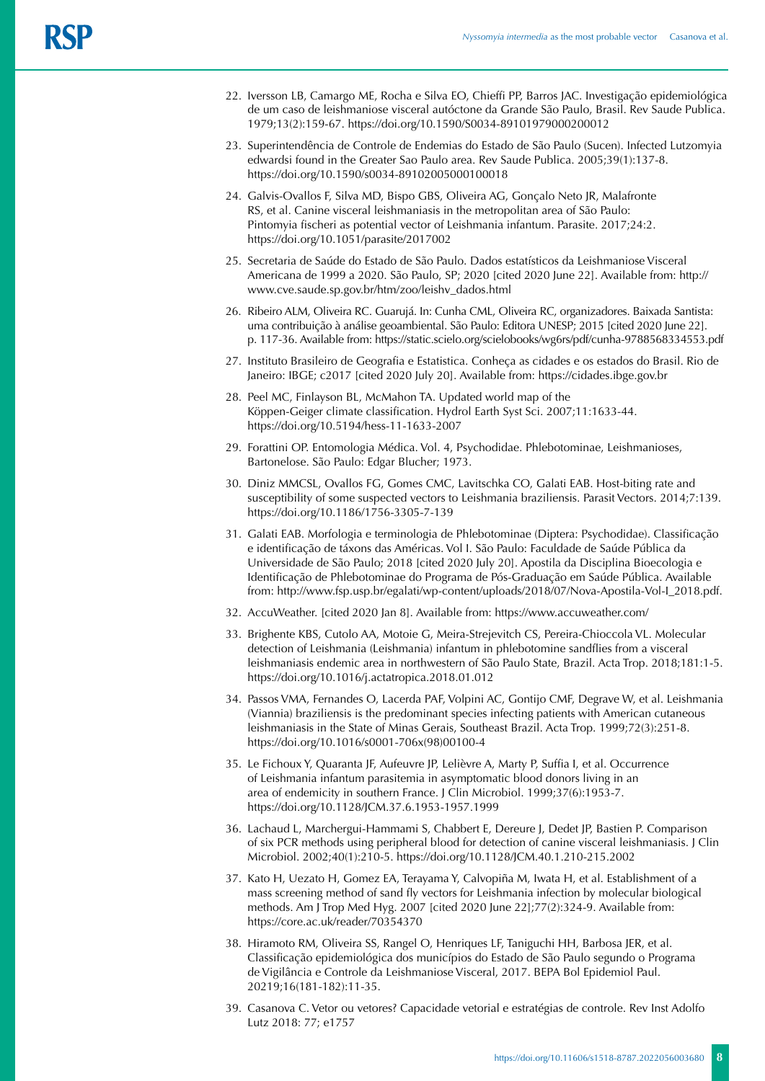- 22. Iversson LB, Camargo ME, Rocha e Silva EO, Chieffi PP, Barros JAC. Investigação epidemiológica de um caso de leishmaniose visceral autóctone da Grande São Paulo, Brasil. Rev Saude Publica. 1979;13(2):159-67. https://doi.org/10.1590/S0034-89101979000200012
- 23. Superintendência de Controle de Endemias do Estado de São Paulo (Sucen). Infected Lutzomyia edwardsi found in the Greater Sao Paulo area. Rev Saude Publica. 2005;39(1):137-8. https://doi.org/10.1590/s0034-89102005000100018
- 24. Galvis-Ovallos F, Silva MD, Bispo GBS, Oliveira AG, Gonçalo Neto JR, Malafronte RS, et al. Canine visceral leishmaniasis in the metropolitan area of São Paulo: Pintomyia fischeri as potential vector of Leishmania infantum. Parasite. 2017;24:2. https://doi.org/10.1051/parasite/2017002
- 25. Secretaria de Saúde do Estado de São Paulo. Dados estatísticos da Leishmaniose Visceral Americana de 1999 a 2020. São Paulo, SP; 2020 [cited 2020 June 22]. Available from: http:// www.cve.saude.sp.gov.br/htm/zoo/leishv\_dados.html
- 26. Ribeiro ALM, Oliveira RC. Guarujá. In: Cunha CML, Oliveira RC, organizadores. Baixada Santista: uma contribuição à análise geoambiental. São Paulo: Editora UNESP; 2015 [cited 2020 June 22]. p. 117-36. Available from: https://static.scielo.org/scielobooks/wg6rs/pdf/cunha-9788568334553.pdf
- 27. Instituto Brasileiro de Geografia e Estatistica. Conheça as cidades e os estados do Brasil. Rio de Janeiro: IBGE; c2017 [cited 2020 July 20]. Available from: https://cidades.ibge.gov.br
- 28. Peel MC, Finlayson BL, McMahon TA. Updated world map of the Köppen-Geiger climate classification. Hydrol Earth Syst Sci. 2007;11:1633-44. https://doi.org/10.5194/hess-11-1633-2007
- 29. Forattini OP. Entomologia Médica. Vol. 4, Psychodidae. Phlebotominae, Leishmanioses, Bartonelose. São Paulo: Edgar Blucher; 1973.
- 30. Diniz MMCSL, Ovallos FG, Gomes CMC, Lavitschka CO, Galati EAB. Host-biting rate and susceptibility of some suspected vectors to Leishmania braziliensis. Parasit Vectors. 2014;7:139. https://doi.org/10.1186/1756-3305-7-139
- 31. Galati EAB. Morfologia e terminologia de Phlebotominae (Diptera: Psychodidae). Classificação e identificação de táxons das Américas. Vol I. São Paulo: Faculdade de Saúde Pública da Universidade de São Paulo; 2018 [cited 2020 July 20]. Apostila da Disciplina Bioecologia e Identificação de Phlebotominae do Programa de Pós-Graduação em Saúde Pública. Available from: http://www.fsp.usp.br/egalati/wp-content/uploads/2018/07/Nova-Apostila-Vol-I\_2018.pdf.
- 32. AccuWeather. [cited 2020 Jan 8]. Available from: https://www.accuweather.com/
- 33. Brighente KBS, Cutolo AA, Motoie G, Meira-Strejevitch CS, Pereira-Chioccola VL. Molecular detection of Leishmania (Leishmania) infantum in phlebotomine sandflies from a visceral leishmaniasis endemic area in northwestern of São Paulo State, Brazil. Acta Trop. 2018;181:1-5. https://doi.org/10.1016/j.actatropica.2018.01.012
- 34. Passos VMA, Fernandes O, Lacerda PAF, Volpini AC, Gontijo CMF, Degrave W, et al. Leishmania (Viannia) braziliensis is the predominant species infecting patients with American cutaneous leishmaniasis in the State of Minas Gerais, Southeast Brazil. Acta Trop. 1999;72(3):251-8. https://doi.org/10.1016/s0001-706x(98)00100-4
- 35. Le Fichoux Y, Quaranta JF, Aufeuvre JP, Lelièvre A, Marty P, Suffia I, et al. Occurrence of Leishmania infantum parasitemia in asymptomatic blood donors living in an area of endemicity in southern France. J Clin Microbiol. 1999;37(6):1953-7. https://doi.org/10.1128/JCM.37.6.1953-1957.1999
- 36. Lachaud L, Marchergui-Hammami S, Chabbert E, Dereure J, Dedet JP, Bastien P. Comparison of six PCR methods using peripheral blood for detection of canine visceral leishmaniasis. J Clin Microbiol. 2002;40(1):210-5. https://doi.org/10.1128/JCM.40.1.210-215.2002
- 37. Kato H, Uezato H, Gomez EA, Terayama Y, Calvopiña M, Iwata H, et al. Establishment of a mass screening method of sand fly vectors for Leishmania infection by molecular biological methods. Am J Trop Med Hyg. 2007 [cited 2020 June 22];77(2):324-9. Available from: https://core.ac.uk/reader/70354370
- 38. Hiramoto RM, Oliveira SS, Rangel O, Henriques LF, Taniguchi HH, Barbosa JER, et al. Classificação epidemiológica dos municípios do Estado de São Paulo segundo o Programa de Vigilância e Controle da Leishmaniose Visceral, 2017. BEPA Bol Epidemiol Paul. 20219;16(181-182):11-35.
- 39. Casanova C. Vetor ou vetores? Capacidade vetorial e estratégias de controle. Rev Inst Adolfo Lutz 2018: 77; e1757